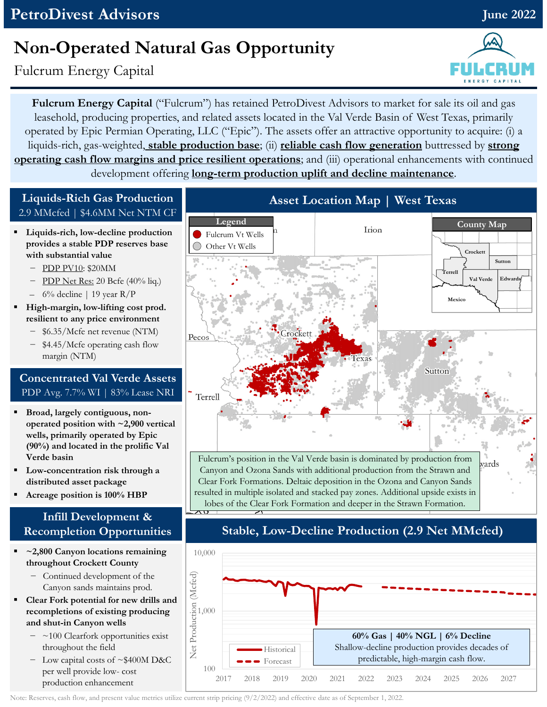# **Non-Operated Natural Gas Opportunity**

Fulcrum Energy Capital

**Fulcrum Energy Capital** ("Fulcrum") has retained PetroDivest Advisors to market for sale its oil and gas leasehold, producing properties, and related assets located in the Val Verde Basin of West Texas, primarily operated by Epic Permian Operating, LLC ("Epic"). The assets offer an attractive opportunity to acquire: (i) a liquids-rich, gas-weighted, **stable production base**; (ii) **reliable cash flow generation** buttressed by **strong operating cash flow margins and price resilient operations**; and (iii) operational enhancements with continued development offering **long-term production uplift and decline maintenance**.

> Fulcrum Vt Wells Other Vt Wells

**Legend**

#### **Liquids-Rich Gas Production** 2.9 MMcfed | \$4.6MM Net NTM CF

- **Liquids-rich, low-decline production provides a stable PDP reserves base with substantial value**
	- − PDP PV10: \$20MM
	- − PDP Net Res: 20 Bcfe (40% liq.)
	- $-$  6% decline | 19 year R/P
- **High-margin, low-lifting cost prod. resilient to any price environment**
	- − \$6.35/Mcfe net revenue (NTM)
	- − \$4.45/Mcfe operating cash flow margin (NTM)

#### **Concentrated Val Verde Assets** PDP Avg. 7.7% WI | 83% Lease NRI

- **Broad, largely contiguous, nonoperated position with ~2,900 vertical wells, primarily operated by Epic (90%) and located in the prolific Val Verde basin**
- **Low-concentration risk through a distributed asset package**
- **Acreage position is 100% HBP**

### **Infill Development & Recompletion Opportunities**

- **~2,800 Canyon locations remaining throughout Crockett County**
	- − Continued development of the Canyon sands maintains prod.
- **Clear Fork potential for new drills and recompletions of existing producing and shut-in Canyon wells**
	- − ~100 Clearfork opportunities exist throughout the field
	- − Low capital costs of ~\$400M D&C per well provide low- cost production enhancement



**Asset Location Map | West Texas**

Irion

### **Stable, Low-Decline Production (2.9 Net MMcfed)**



Note: Reserves, cash flow, and present value metrics utilize current strip pricing (9/2/2022) and effective date as of September 1, 2022.



**County Map**

**Sutton**

**Val Verde Edwards**

**Crockett**

**Terrell**